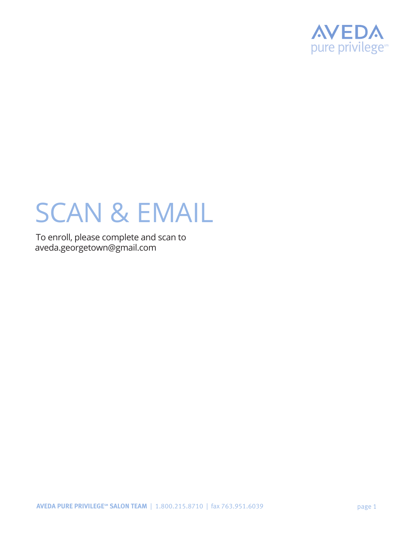

# SCAN & EMAIL

To enroll, please complete and scan to aveda.georgetown@gmail.com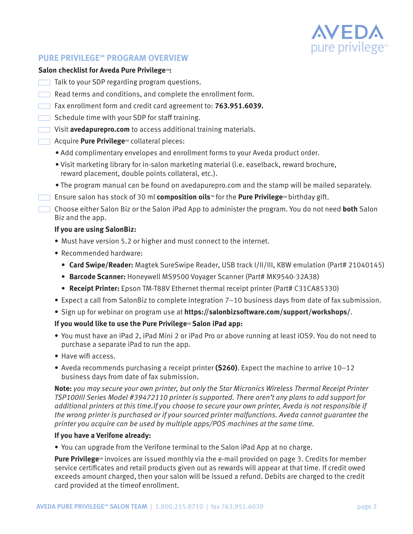

## **PURE PRIVILEGESM PROGRAM OVERVIEW**

## **Salon checklist for Aveda Pure PrivilegesM:**

- Talk to your SDP regarding program questions.
- Read terms and conditions, and complete the enrollment form.
- Fax enrollment form and credit card agreement to: **763.951.6039.**
- $\Box$  Schedule time with your SDP for staff training.
- Visit **avedapurepro.com** to access additional training materials.
- **Acquire Pure Privilege**SM collateral pieces:
	- Add complimentary envelopes and enrollment forms to your Aveda product order.
	- Visit marketing library for in-salon marketing material (i.e. easelback, reward brochure, reward placement, double points collateral, etc.).
	- The program manual can be found on avedapurepro.com and the stamp will be mailed separately.
- **Ensure salon has stock of 30 ml composition oils™ for the Pure Privilege** Monstheday gift.

Choose either Salon Biz or the Salon iPad App to administer the program. You do not need **both** Salon Biz and the app.

## **If you are using SalonBiz:**

- Must have version 5.2 or higher and must connect to the internet.
- Recommended hardware:
	- **Card Swipe/Reader:** Magtek SureSwipe Reader, USB track I/II/III, KBW emulation (Part# 21040145)
	- **Barcode Scanner:** Honeywell MS9500 Voyager Scanner (Part# MK9540-32A38)
	- **Receipt Printer:** Epson TM-T88V Ethernet thermal receipt printer (Part# C31CA85330)
- Expect a call from SalonBiz to complete integration 7–10 business days from date of fax submission.
- Sign up for webinar on program use at **https://salonbizsoftware.com/support/workshops/**.

## **If you would like to use the Pure Privilege<sup>sM</sup> Salon iPad app:**

- You must have an iPad 2, iPad Mini 2 or iPad Pro or above running at least iOS9. You do not need to purchase a separate iPad to run the app.
- Have wifi access.
- Aveda recommends purchasing a receipt printer **(\$260)**. Expect the machine to arrive 10–12 business days from date of fax submission.

**Note:** *you may secure your own printer, but only the Star Micronics Wireless Thermal Receipt Printer TSP100III Series Model #39472110 printer is supported. There aren't any plans to add support for additional printers at this time.If you choose to secure your own printer, Aveda is not responsible if the wrong printer is purchased or if your sourced printer malfunctions. Aveda cannot guarantee the printer you acquire can be used by multiple apps/POS machines at the same time.*

#### **If you have a Verifone already:**

• You can upgrade from the Verifone terminal to the Salon iPad App at no charge.

**Pure Privilege**<sup>M</sup> invoices are issued monthly via the e-mail provided on page 3. Credits for member service certificates and retail products given out as rewards will appear at that time. If credit owed exceeds amount charged, then your salon will be issued a refund. Debits are charged to the credit card provided at the timeof enrollment.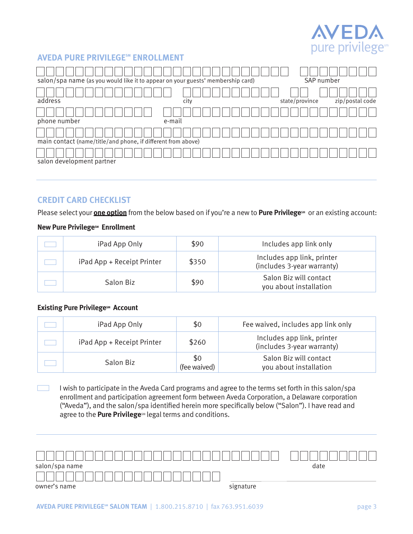

## **AVEDA PURE PRIVILEGESM ENROLLMENT**

| salon/spa name (as you would like it to appear on your guests' membership card) |        | SAP number                        |
|---------------------------------------------------------------------------------|--------|-----------------------------------|
| address                                                                         | city   | zip/postal code<br>state/province |
| phone number                                                                    | e-mail |                                   |
| main contact (name/title/and phone, if different from above)                    |        |                                   |
| salon development partner                                                       |        |                                   |

## **CREDIT CARD CHECKLIST**

Please select your **one option** from the below based on if you're a new to **Pure Privilege**s<sup>M</sup> or an existing account:

## **New Pure PrivilegesM** Enrollment

| iPad App Only              | \$90  | Includes app link only                                   |
|----------------------------|-------|----------------------------------------------------------|
| iPad App + Receipt Printer | \$350 | Includes app link, printer<br>(includes 3-year warranty) |
| Salon Biz                  | \$90  | Salon Biz will contact<br>you about installation         |

#### **Existing Pure PrivilegesM** Account

| iPad App Only              | \$0                 | Fee waived, includes app link only                       |
|----------------------------|---------------------|----------------------------------------------------------|
| iPad App + Receipt Printer | \$260               | Includes app link, printer<br>(includes 3-year warranty) |
| Salon Biz                  | \$0<br>(fee waived) | Salon Biz will contact<br>you about installation         |

 $\mathcal{L}_{\text{max}}$ I wish to participate in the Aveda Card programs and agree to the terms set forth in this salon/spa enrollment and participation agreement form between Aveda Corporation, a Delaware corporation ("Aveda"), and the salon/spa identified herein more specifically below ("Salon"). I have read and agree to the **Pure Privilege**sM legal terms and conditions.

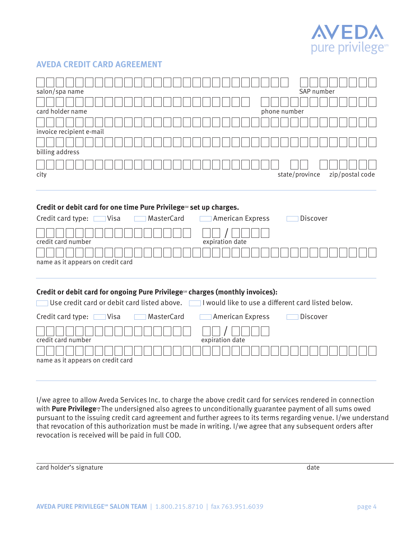

## **AVEDA CREDIT CARD AGREEMENT**

| salon/spa name           |              | SAP number     |                 |
|--------------------------|--------------|----------------|-----------------|
|                          |              |                |                 |
| card holder name         | phone number |                |                 |
|                          |              |                |                 |
| invoice recipient e-mail |              |                |                 |
|                          |              |                |                 |
| billing address          |              |                |                 |
| city                     |              | state/province | zip/postal code |
|                          |              |                |                 |

#### Credit or debit card for one time Pure PrivilegesM set up charges.

| Credit card type:<br>] Visa<br>  MasterCard | American Express | Discover |
|---------------------------------------------|------------------|----------|
|                                             |                  |          |
| credit card number                          | expiration date  |          |
|                                             |                  |          |
| name as it appears on credit card           |                  |          |

#### Credit or debit card for ongoing Pure Privilege<sup>SM</sup> charges (monthly invoices):

| Use credit card or debit card listed above.<br><b>Contract</b> | $\sqcup$ would like to use a different card listed below. |
|----------------------------------------------------------------|-----------------------------------------------------------|
| Credit card type: $\Box$<br>MasterCard<br>∃Visa                | American Express<br>Discover<br>$\mathbb{R}^n$            |
| credit card number                                             | expiration date                                           |
| name as it appears on credit card                              |                                                           |

I/we agree to allow Aveda Services Inc. to charge the above credit card for services rendered in connection with **Pure Privilege**<sup>\*</sup> The undersigned also agrees to unconditionally guarantee payment of all sums owed pursuant to the issuing credit card agreement and further agrees to its terms regarding venue. I/we understand that revocation of this authorization must be made in writing. I/we agree that any subsequent orders after revocation is received will be paid in full COD.

| card holder's signature | date |
|-------------------------|------|
|-------------------------|------|